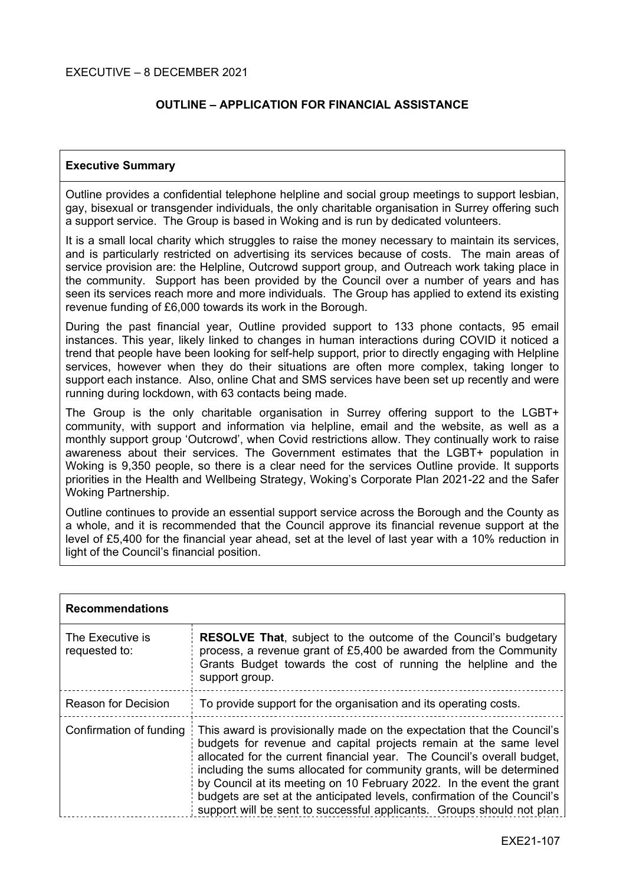# **OUTLINE – APPLICATION FOR FINANCIAL ASSISTANCE**

## **Executive Summary**

Outline provides a confidential telephone helpline and social group meetings to support lesbian, gay, bisexual or transgender individuals, the only charitable organisation in Surrey offering such a support service. The Group is based in Woking and is run by dedicated volunteers.

It is a small local charity which struggles to raise the money necessary to maintain its services, and is particularly restricted on advertising its services because of costs. The main areas of service provision are: the Helpline, Outcrowd support group, and Outreach work taking place in the community. Support has been provided by the Council over a number of years and has seen its services reach more and more individuals. The Group has applied to extend its existing revenue funding of £6,000 towards its work in the Borough.

During the past financial year, Outline provided support to 133 phone contacts, 95 email instances. This year, likely linked to changes in human interactions during COVID it noticed a trend that people have been looking for self-help support, prior to directly engaging with Helpline services, however when they do their situations are often more complex, taking longer to support each instance. Also, online Chat and SMS services have been set up recently and were running during lockdown, with 63 contacts being made.

The Group is the only charitable organisation in Surrey offering support to the LGBT+ community, with support and information via helpline, email and the website, as well as a monthly support group 'Outcrowd', when Covid restrictions allow. They continually work to raise awareness about their services. The Government estimates that the LGBT+ population in Woking is 9,350 people, so there is a clear need for the services Outline provide. It supports priorities in the Health and Wellbeing Strategy, Woking's Corporate Plan 2021-22 and the Safer Woking Partnership.

Outline continues to provide an essential support service across the Borough and the County as a whole, and it is recommended that the Council approve its financial revenue support at the level of £5,400 for the financial year ahead, set at the level of last year with a 10% reduction in light of the Council's financial position.

| <b>Recommendations</b>            |                                                                                                                                                                                                                                                                                                                                                                                                                                                                                                                               |  |
|-----------------------------------|-------------------------------------------------------------------------------------------------------------------------------------------------------------------------------------------------------------------------------------------------------------------------------------------------------------------------------------------------------------------------------------------------------------------------------------------------------------------------------------------------------------------------------|--|
| The Executive is<br>requested to: | <b>RESOLVE That, subject to the outcome of the Council's budgetary</b><br>process, a revenue grant of £5,400 be awarded from the Community<br>Grants Budget towards the cost of running the helpline and the<br>support group.                                                                                                                                                                                                                                                                                                |  |
| <b>Reason for Decision</b>        | To provide support for the organisation and its operating costs.                                                                                                                                                                                                                                                                                                                                                                                                                                                              |  |
| Confirmation of funding           | This award is provisionally made on the expectation that the Council's<br>budgets for revenue and capital projects remain at the same level<br>allocated for the current financial year. The Council's overall budget,<br>including the sums allocated for community grants, will be determined<br>by Council at its meeting on 10 February 2022. In the event the grant<br>budgets are set at the anticipated levels, confirmation of the Council's<br>support will be sent to successful applicants. Groups should not plan |  |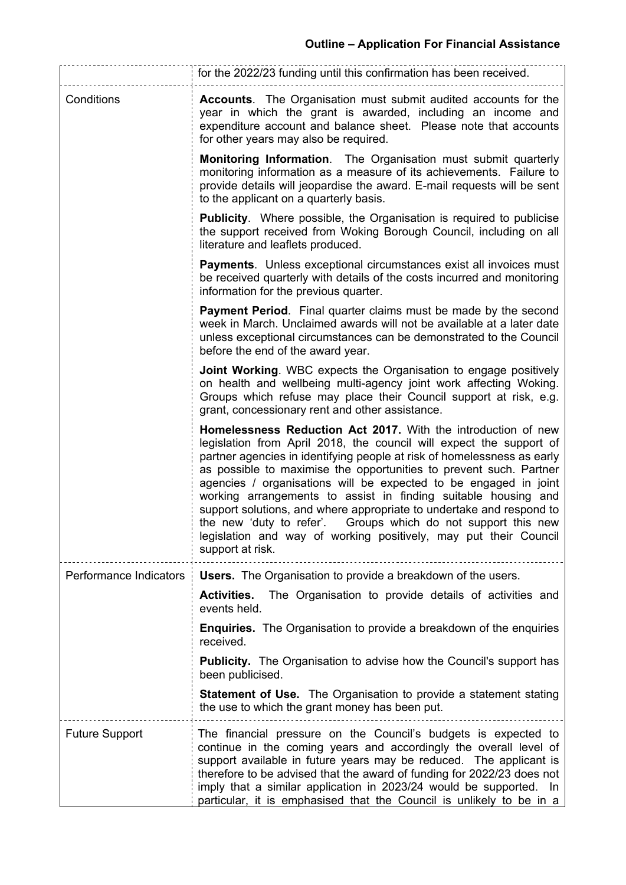|                        | for the 2022/23 funding until this confirmation has been received.                                                                                                                                                                                                                                                                                                                                                                                                                                                                                                                                                                                            |  |
|------------------------|---------------------------------------------------------------------------------------------------------------------------------------------------------------------------------------------------------------------------------------------------------------------------------------------------------------------------------------------------------------------------------------------------------------------------------------------------------------------------------------------------------------------------------------------------------------------------------------------------------------------------------------------------------------|--|
| Conditions             | <b>Accounts.</b> The Organisation must submit audited accounts for the<br>year in which the grant is awarded, including an income and<br>expenditure account and balance sheet. Please note that accounts<br>for other years may also be required.                                                                                                                                                                                                                                                                                                                                                                                                            |  |
|                        | <b>Monitoring Information.</b> The Organisation must submit quarterly<br>monitoring information as a measure of its achievements. Failure to<br>provide details will jeopardise the award. E-mail requests will be sent<br>to the applicant on a quarterly basis.                                                                                                                                                                                                                                                                                                                                                                                             |  |
|                        | <b>Publicity.</b> Where possible, the Organisation is required to publicise<br>the support received from Woking Borough Council, including on all<br>literature and leaflets produced.                                                                                                                                                                                                                                                                                                                                                                                                                                                                        |  |
|                        | Payments. Unless exceptional circumstances exist all invoices must<br>be received quarterly with details of the costs incurred and monitoring<br>information for the previous quarter.                                                                                                                                                                                                                                                                                                                                                                                                                                                                        |  |
|                        | <b>Payment Period.</b> Final quarter claims must be made by the second<br>week in March. Unclaimed awards will not be available at a later date<br>unless exceptional circumstances can be demonstrated to the Council<br>before the end of the award year.                                                                                                                                                                                                                                                                                                                                                                                                   |  |
|                        | Joint Working. WBC expects the Organisation to engage positively<br>on health and wellbeing multi-agency joint work affecting Woking.<br>Groups which refuse may place their Council support at risk, e.g.<br>grant, concessionary rent and other assistance.                                                                                                                                                                                                                                                                                                                                                                                                 |  |
|                        | Homelessness Reduction Act 2017. With the introduction of new<br>legislation from April 2018, the council will expect the support of<br>partner agencies in identifying people at risk of homelessness as early<br>as possible to maximise the opportunities to prevent such. Partner<br>agencies / organisations will be expected to be engaged in joint<br>working arrangements to assist in finding suitable housing and<br>support solutions, and where appropriate to undertake and respond to<br>the new 'duty to refer'.  Groups which do not support this new<br>legislation and way of working positively, may put their Council<br>support at risk. |  |
| Performance Indicators | <b>Users.</b> The Organisation to provide a breakdown of the users.                                                                                                                                                                                                                                                                                                                                                                                                                                                                                                                                                                                           |  |
|                        | The Organisation to provide details of activities and<br><b>Activities.</b><br>events held.                                                                                                                                                                                                                                                                                                                                                                                                                                                                                                                                                                   |  |
|                        | <b>Enquiries.</b> The Organisation to provide a breakdown of the enquiries<br>received.                                                                                                                                                                                                                                                                                                                                                                                                                                                                                                                                                                       |  |
|                        | <b>Publicity.</b> The Organisation to advise how the Council's support has<br>been publicised.                                                                                                                                                                                                                                                                                                                                                                                                                                                                                                                                                                |  |
|                        | <b>Statement of Use.</b> The Organisation to provide a statement stating<br>the use to which the grant money has been put.                                                                                                                                                                                                                                                                                                                                                                                                                                                                                                                                    |  |
| <b>Future Support</b>  | The financial pressure on the Council's budgets is expected to<br>continue in the coming years and accordingly the overall level of<br>support available in future years may be reduced. The applicant is<br>therefore to be advised that the award of funding for 2022/23 does not<br>imply that a similar application in 2023/24 would be supported. In<br>particular, it is emphasised that the Council is unlikely to be in a                                                                                                                                                                                                                             |  |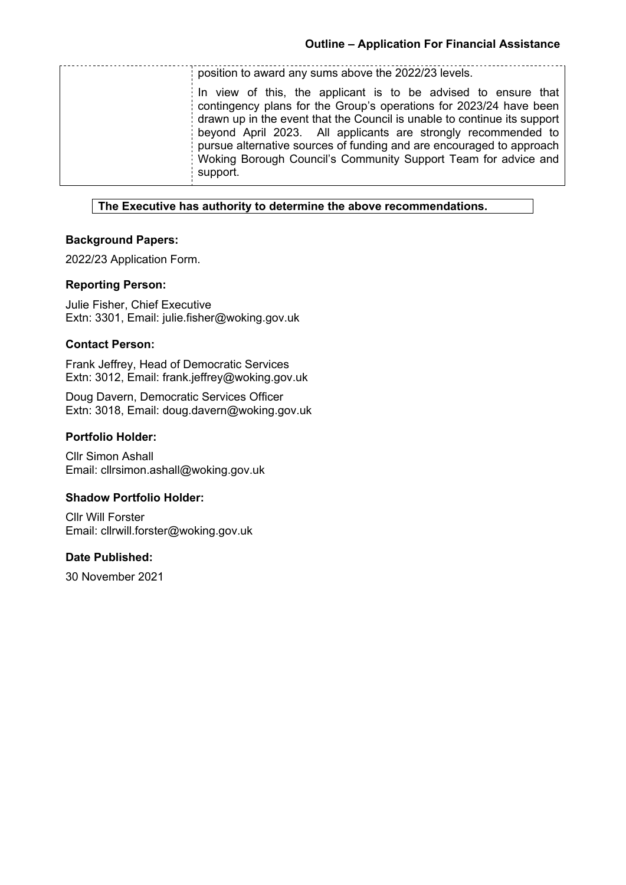position to award any sums above the 2022/23 levels. In view of this, the applicant is to be advised to ensure that contingency plans for the Group's operations for 2023/24 have been drawn up in the event that the Council is unable to continue its support beyond April 2023. All applicants are strongly recommended to pursue alternative sources of funding and are encouraged to approach Woking Borough Council's Community Support Team for advice and support.

## **The Executive has authority to determine the above recommendations.**

## **Background Papers:**

2022/23 Application Form.

### **Reporting Person:**

Julie Fisher, Chief Executive Extn: 3301, Email: julie.fisher@woking.gov.uk

### **Contact Person:**

Frank Jeffrey, Head of Democratic Services Extn: 3012, Email: frank.jeffrey@woking.gov.uk

Doug Davern, Democratic Services Officer Extn: 3018, Email: doug.davern@woking.gov.uk

## **Portfolio Holder:**

Cllr Simon Ashall Email: cllrsimon.ashall@woking.gov.uk

#### **Shadow Portfolio Holder:**

Cllr Will Forster Email: cllrwill.forster@woking.gov.uk

## **Date Published:**

30 November 2021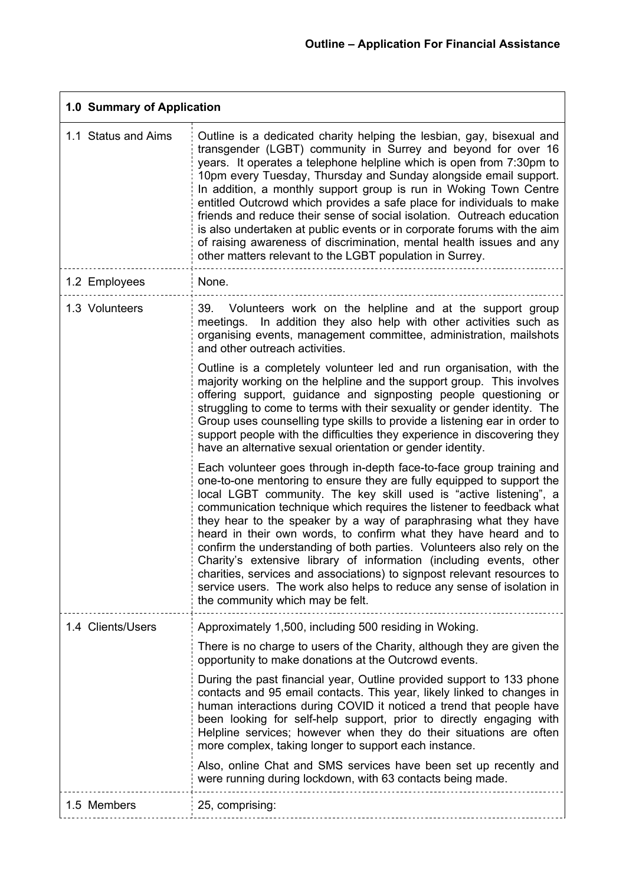|                     | 1.0 Summary of Application                                                                                                                                                                                                                                                                                                                                                                                                                                                                                                                                                                                                                                                                                                                                                   |  |  |
|---------------------|------------------------------------------------------------------------------------------------------------------------------------------------------------------------------------------------------------------------------------------------------------------------------------------------------------------------------------------------------------------------------------------------------------------------------------------------------------------------------------------------------------------------------------------------------------------------------------------------------------------------------------------------------------------------------------------------------------------------------------------------------------------------------|--|--|
| 1.1 Status and Aims | Outline is a dedicated charity helping the lesbian, gay, bisexual and<br>transgender (LGBT) community in Surrey and beyond for over 16<br>years. It operates a telephone helpline which is open from 7:30pm to<br>10pm every Tuesday, Thursday and Sunday alongside email support.<br>In addition, a monthly support group is run in Woking Town Centre<br>entitled Outcrowd which provides a safe place for individuals to make<br>friends and reduce their sense of social isolation. Outreach education<br>is also undertaken at public events or in corporate forums with the aim<br>of raising awareness of discrimination, mental health issues and any<br>other matters relevant to the LGBT population in Surrey.                                                    |  |  |
| 1.2 Employees       | None.                                                                                                                                                                                                                                                                                                                                                                                                                                                                                                                                                                                                                                                                                                                                                                        |  |  |
| 1.3 Volunteers      | Volunteers work on the helpline and at the support group<br>39.<br>In addition they also help with other activities such as<br>meetings.<br>organising events, management committee, administration, mailshots<br>and other outreach activities.                                                                                                                                                                                                                                                                                                                                                                                                                                                                                                                             |  |  |
|                     | Outline is a completely volunteer led and run organisation, with the<br>majority working on the helpline and the support group. This involves<br>offering support, guidance and signposting people questioning or<br>struggling to come to terms with their sexuality or gender identity. The<br>Group uses counselling type skills to provide a listening ear in order to<br>support people with the difficulties they experience in discovering they<br>have an alternative sexual orientation or gender identity.                                                                                                                                                                                                                                                         |  |  |
|                     | Each volunteer goes through in-depth face-to-face group training and<br>one-to-one mentoring to ensure they are fully equipped to support the<br>local LGBT community. The key skill used is "active listening", a<br>communication technique which requires the listener to feedback what<br>they hear to the speaker by a way of paraphrasing what they have<br>heard in their own words, to confirm what they have heard and to<br>confirm the understanding of both parties. Volunteers also rely on the<br>Charity's extensive library of information (including events, other<br>charities, services and associations) to signpost relevant resources to<br>service users. The work also helps to reduce any sense of isolation in<br>the community which may be felt. |  |  |
| 1.4 Clients/Users   | Approximately 1,500, including 500 residing in Woking.                                                                                                                                                                                                                                                                                                                                                                                                                                                                                                                                                                                                                                                                                                                       |  |  |
|                     | There is no charge to users of the Charity, although they are given the<br>opportunity to make donations at the Outcrowd events.                                                                                                                                                                                                                                                                                                                                                                                                                                                                                                                                                                                                                                             |  |  |
|                     | During the past financial year, Outline provided support to 133 phone<br>contacts and 95 email contacts. This year, likely linked to changes in<br>human interactions during COVID it noticed a trend that people have<br>been looking for self-help support, prior to directly engaging with<br>Helpline services; however when they do their situations are often<br>more complex, taking longer to support each instance.                                                                                                                                                                                                                                                                                                                                                 |  |  |
|                     | Also, online Chat and SMS services have been set up recently and<br>were running during lockdown, with 63 contacts being made.                                                                                                                                                                                                                                                                                                                                                                                                                                                                                                                                                                                                                                               |  |  |
| 1.5 Members         | 25, comprising:                                                                                                                                                                                                                                                                                                                                                                                                                                                                                                                                                                                                                                                                                                                                                              |  |  |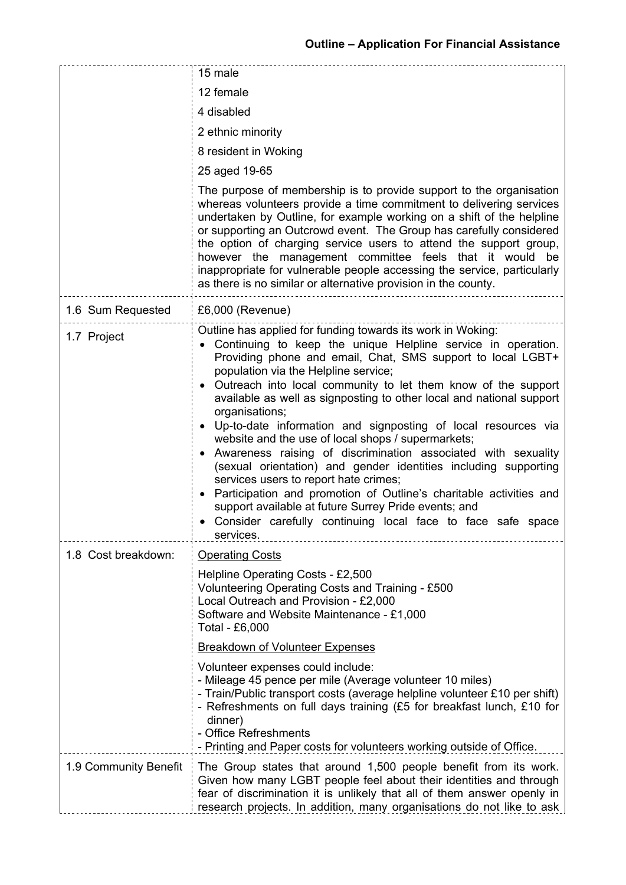|                       | 15 male                                                                                                                                                                                                                                                                                                                                                                                                                                                                                                                                                                                                                                                                                                                                                                                                                                                                                                       |
|-----------------------|---------------------------------------------------------------------------------------------------------------------------------------------------------------------------------------------------------------------------------------------------------------------------------------------------------------------------------------------------------------------------------------------------------------------------------------------------------------------------------------------------------------------------------------------------------------------------------------------------------------------------------------------------------------------------------------------------------------------------------------------------------------------------------------------------------------------------------------------------------------------------------------------------------------|
|                       | 12 female                                                                                                                                                                                                                                                                                                                                                                                                                                                                                                                                                                                                                                                                                                                                                                                                                                                                                                     |
|                       | 4 disabled                                                                                                                                                                                                                                                                                                                                                                                                                                                                                                                                                                                                                                                                                                                                                                                                                                                                                                    |
|                       | 2 ethnic minority                                                                                                                                                                                                                                                                                                                                                                                                                                                                                                                                                                                                                                                                                                                                                                                                                                                                                             |
|                       | 8 resident in Woking                                                                                                                                                                                                                                                                                                                                                                                                                                                                                                                                                                                                                                                                                                                                                                                                                                                                                          |
|                       | 25 aged 19-65                                                                                                                                                                                                                                                                                                                                                                                                                                                                                                                                                                                                                                                                                                                                                                                                                                                                                                 |
|                       | The purpose of membership is to provide support to the organisation<br>whereas volunteers provide a time commitment to delivering services<br>undertaken by Outline, for example working on a shift of the helpline<br>or supporting an Outcrowd event. The Group has carefully considered<br>the option of charging service users to attend the support group,<br>however the management committee feels that it would<br>be<br>inappropriate for vulnerable people accessing the service, particularly<br>as there is no similar or alternative provision in the county.                                                                                                                                                                                                                                                                                                                                    |
| 1.6 Sum Requested     | £6,000 (Revenue)                                                                                                                                                                                                                                                                                                                                                                                                                                                                                                                                                                                                                                                                                                                                                                                                                                                                                              |
| 1.7 Project           | Outline has applied for funding towards its work in Woking:<br>Continuing to keep the unique Helpline service in operation.<br>Providing phone and email, Chat, SMS support to local LGBT+<br>population via the Helpline service;<br>Outreach into local community to let them know of the support<br>available as well as signposting to other local and national support<br>organisations;<br>• Up-to-date information and signposting of local resources via<br>website and the use of local shops / supermarkets;<br>Awareness raising of discrimination associated with sexuality<br>(sexual orientation) and gender identities including supporting<br>services users to report hate crimes;<br>Participation and promotion of Outline's charitable activities and<br>support available at future Surrey Pride events; and<br>Consider carefully continuing local face to face safe space<br>services. |
| 1.8 Cost breakdown:   | <b>Operating Costs</b>                                                                                                                                                                                                                                                                                                                                                                                                                                                                                                                                                                                                                                                                                                                                                                                                                                                                                        |
|                       | Helpline Operating Costs - £2,500<br>Volunteering Operating Costs and Training - £500<br>Local Outreach and Provision - £2,000<br>Software and Website Maintenance - £1,000<br>Total - £6,000                                                                                                                                                                                                                                                                                                                                                                                                                                                                                                                                                                                                                                                                                                                 |
|                       | <b>Breakdown of Volunteer Expenses</b>                                                                                                                                                                                                                                                                                                                                                                                                                                                                                                                                                                                                                                                                                                                                                                                                                                                                        |
|                       | Volunteer expenses could include:<br>- Mileage 45 pence per mile (Average volunteer 10 miles)<br>- Train/Public transport costs (average helpline volunteer £10 per shift)<br>- Refreshments on full days training (£5 for breakfast lunch, £10 for<br>dinner)<br>- Office Refreshments<br>- Printing and Paper costs for volunteers working outside of Office.                                                                                                                                                                                                                                                                                                                                                                                                                                                                                                                                               |
| 1.9 Community Benefit | The Group states that around 1,500 people benefit from its work.<br>Given how many LGBT people feel about their identities and through<br>fear of discrimination it is unlikely that all of them answer openly in<br>research projects. In addition, many organisations do not like to ask                                                                                                                                                                                                                                                                                                                                                                                                                                                                                                                                                                                                                    |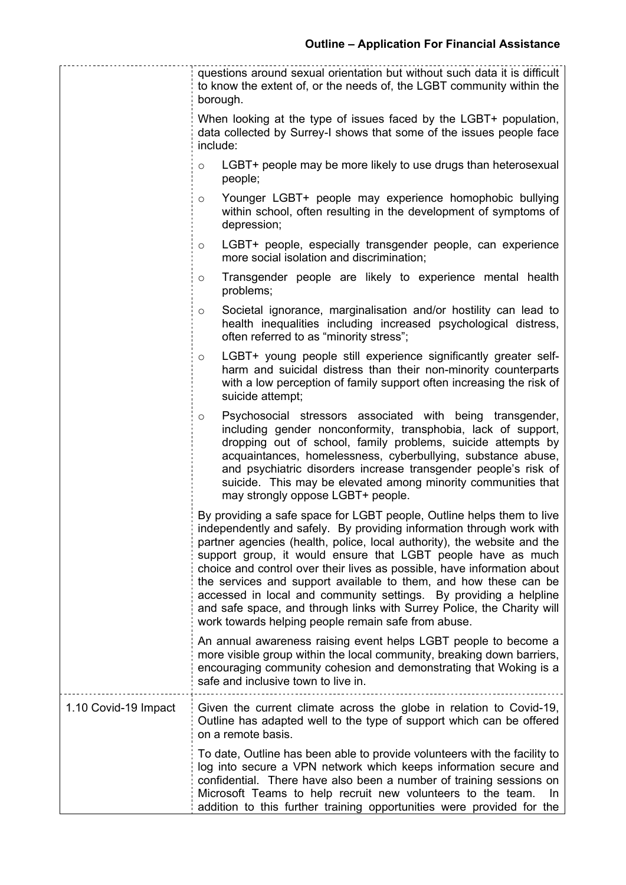|                      | questions around sexual orientation but without such data it is difficult<br>to know the extent of, or the needs of, the LGBT community within the<br>borough.                                                                                                                                                                                                                                                                                                                                                                                                                                                                                |
|----------------------|-----------------------------------------------------------------------------------------------------------------------------------------------------------------------------------------------------------------------------------------------------------------------------------------------------------------------------------------------------------------------------------------------------------------------------------------------------------------------------------------------------------------------------------------------------------------------------------------------------------------------------------------------|
|                      | When looking at the type of issues faced by the LGBT+ population,<br>data collected by Surrey-I shows that some of the issues people face<br>include:                                                                                                                                                                                                                                                                                                                                                                                                                                                                                         |
|                      | LGBT+ people may be more likely to use drugs than heterosexual<br>$\circ$<br>people;                                                                                                                                                                                                                                                                                                                                                                                                                                                                                                                                                          |
|                      | Younger LGBT+ people may experience homophobic bullying<br>$\circ$<br>within school, often resulting in the development of symptoms of<br>depression;                                                                                                                                                                                                                                                                                                                                                                                                                                                                                         |
|                      | LGBT+ people, especially transgender people, can experience<br>$\circ$<br>more social isolation and discrimination;                                                                                                                                                                                                                                                                                                                                                                                                                                                                                                                           |
|                      | Transgender people are likely to experience mental health<br>$\circ$<br>problems;                                                                                                                                                                                                                                                                                                                                                                                                                                                                                                                                                             |
|                      | Societal ignorance, marginalisation and/or hostility can lead to<br>O<br>health inequalities including increased psychological distress,<br>often referred to as "minority stress";                                                                                                                                                                                                                                                                                                                                                                                                                                                           |
|                      | LGBT+ young people still experience significantly greater self-<br>$\circ$<br>harm and suicidal distress than their non-minority counterparts<br>with a low perception of family support often increasing the risk of<br>suicide attempt;                                                                                                                                                                                                                                                                                                                                                                                                     |
|                      | Psychosocial stressors associated with being transgender,<br>$\circ$<br>including gender nonconformity, transphobia, lack of support,<br>dropping out of school, family problems, suicide attempts by<br>acquaintances, homelessness, cyberbullying, substance abuse,<br>and psychiatric disorders increase transgender people's risk of<br>suicide. This may be elevated among minority communities that<br>may strongly oppose LGBT+ people.                                                                                                                                                                                                |
|                      | By providing a safe space for LGBT people, Outline helps them to live<br>independently and safely. By providing information through work with<br>partner agencies (health, police, local authority), the website and the<br>support group, it would ensure that LGBT people have as much<br>choice and control over their lives as possible, have information about<br>the services and support available to them, and how these can be<br>accessed in local and community settings. By providing a helpline<br>and safe space, and through links with Surrey Police, the Charity will<br>work towards helping people remain safe from abuse. |
|                      | An annual awareness raising event helps LGBT people to become a<br>more visible group within the local community, breaking down barriers,<br>encouraging community cohesion and demonstrating that Woking is a<br>safe and inclusive town to live in.                                                                                                                                                                                                                                                                                                                                                                                         |
| 1.10 Covid-19 Impact | Given the current climate across the globe in relation to Covid-19,<br>Outline has adapted well to the type of support which can be offered<br>on a remote basis.                                                                                                                                                                                                                                                                                                                                                                                                                                                                             |
|                      | To date, Outline has been able to provide volunteers with the facility to<br>log into secure a VPN network which keeps information secure and<br>confidential. There have also been a number of training sessions on<br>Microsoft Teams to help recruit new volunteers to the team.<br>In.<br>addition to this further training opportunities were provided for the                                                                                                                                                                                                                                                                           |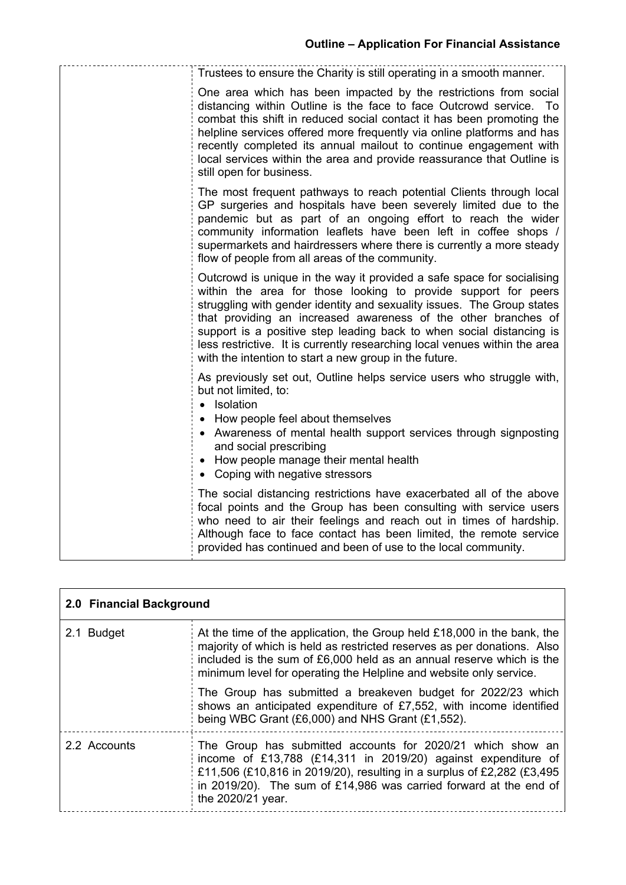| Trustees to ensure the Charity is still operating in a smooth manner.                                                                                                                                                                                                                                                                                                                                                                                                                                |
|------------------------------------------------------------------------------------------------------------------------------------------------------------------------------------------------------------------------------------------------------------------------------------------------------------------------------------------------------------------------------------------------------------------------------------------------------------------------------------------------------|
| One area which has been impacted by the restrictions from social<br>distancing within Outline is the face to face Outcrowd service. To<br>combat this shift in reduced social contact it has been promoting the<br>helpline services offered more frequently via online platforms and has<br>recently completed its annual mailout to continue engagement with<br>local services within the area and provide reassurance that Outline is<br>still open for business.                                 |
| The most frequent pathways to reach potential Clients through local<br>GP surgeries and hospitals have been severely limited due to the<br>pandemic but as part of an ongoing effort to reach the wider<br>community information leaflets have been left in coffee shops /<br>supermarkets and hairdressers where there is currently a more steady<br>flow of people from all areas of the community.                                                                                                |
| Outcrowd is unique in the way it provided a safe space for socialising<br>within the area for those looking to provide support for peers<br>struggling with gender identity and sexuality issues. The Group states<br>that providing an increased awareness of the other branches of<br>support is a positive step leading back to when social distancing is<br>less restrictive. It is currently researching local venues within the area<br>with the intention to start a new group in the future. |
| As previously set out, Outline helps service users who struggle with,<br>but not limited, to:<br>• Isolation<br>• How people feel about themselves<br>• Awareness of mental health support services through signposting<br>and social prescribing<br>• How people manage their mental health<br>Coping with negative stressors                                                                                                                                                                       |
| The social distancing restrictions have exacerbated all of the above<br>focal points and the Group has been consulting with service users<br>who need to air their feelings and reach out in times of hardship.<br>Although face to face contact has been limited, the remote service<br>provided has continued and been of use to the local community.                                                                                                                                              |

|              | 2.0 Financial Background                                                                                                                                                                                                                                                                         |  |
|--------------|--------------------------------------------------------------------------------------------------------------------------------------------------------------------------------------------------------------------------------------------------------------------------------------------------|--|
| 2.1 Budget   | At the time of the application, the Group held £18,000 in the bank, the<br>majority of which is held as restricted reserves as per donations. Also<br>included is the sum of £6,000 held as an annual reserve which is the<br>minimum level for operating the Helpline and website only service. |  |
|              | The Group has submitted a breakeven budget for 2022/23 which<br>shows an anticipated expenditure of £7,552, with income identified<br>being WBC Grant (£6,000) and NHS Grant (£1,552).                                                                                                           |  |
| 2.2 Accounts | The Group has submitted accounts for 2020/21 which show an<br>income of £13,788 (£14,311 in 2019/20) against expenditure of<br>£11,506 (£10,816 in 2019/20), resulting in a surplus of £2,282 (£3,495<br>in 2019/20). The sum of £14,986 was carried forward at the end of<br>the 2020/21 year.  |  |